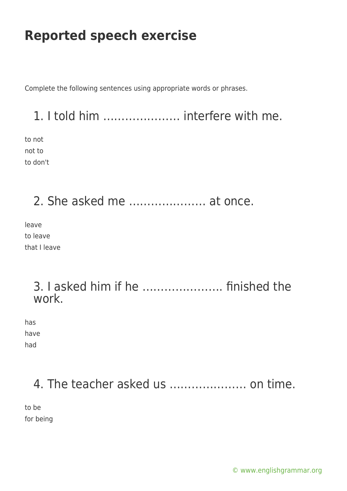Complete the following sentences using appropriate words or phrases.

## 1. I told him ………………… interfere with me.

to not not to to don't

2. She asked me ………………… at once.

leave to leave that I leave

#### 3. I asked him if he …………………. finished the work.

has have had

### 4. The teacher asked us ………………… on time.

to be for being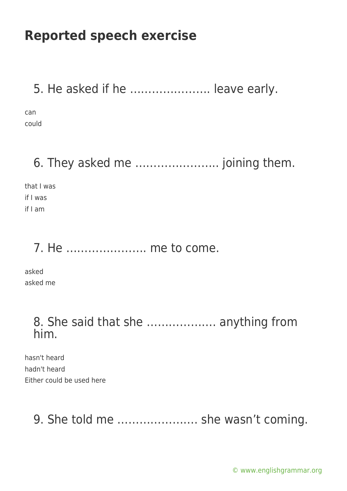5. He asked if he …………………. leave early.

can could

# 6. They asked me ………………….. joining them.

that I was if I was if I am

### 7. He …………………. me to come.

asked asked me

#### 8. She said that she ………………. anything from him.

hasn't heard hadn't heard Either could be used here

## 9. She told me …………………. she wasn't coming.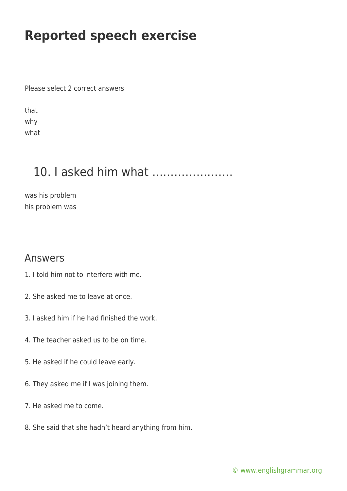Please select 2 correct answers

that why what

## 10. I asked him what ………………….

was his problem his problem was

#### Answers

- 1. I told him not to interfere with me.
- 2. She asked me to leave at once.
- 3. I asked him if he had finished the work.
- 4. The teacher asked us to be on time.
- 5. He asked if he could leave early.
- 6. They asked me if I was joining them.
- 7. He asked me to come.
- 8. She said that she hadn't heard anything from him.